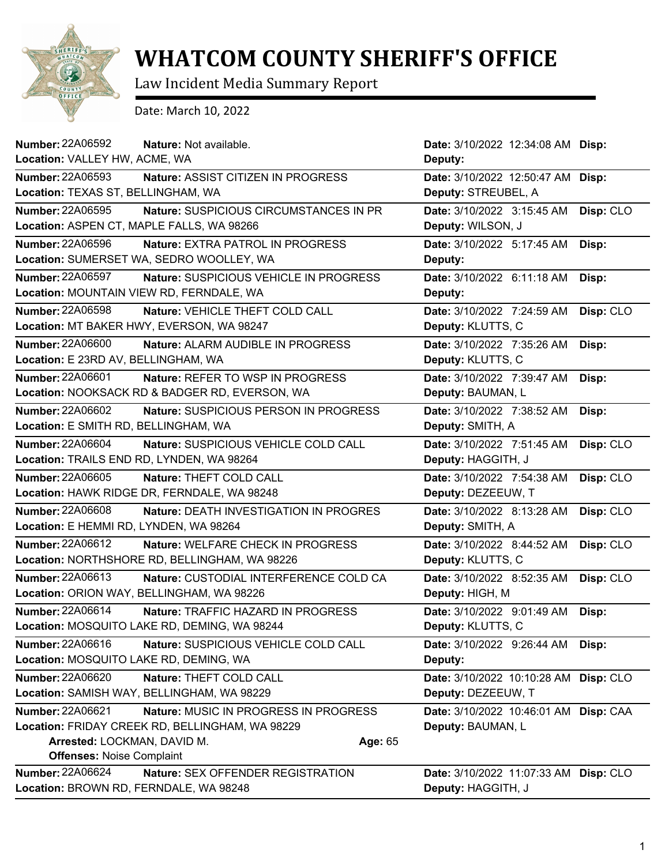

## **WHATCOM COUNTY SHERIFF'S OFFICE**

Law Incident Media Summary Report

Date: March 10, 2022

| <b>Number: 22A06592</b><br>Nature: Not available.<br>Location: VALLEY HW, ACME, WA                                                                                                         | Date: 3/10/2022 12:34:08 AM Disp:<br>Deputy:                  |
|--------------------------------------------------------------------------------------------------------------------------------------------------------------------------------------------|---------------------------------------------------------------|
| <b>Number: 22A06593</b>                                                                                                                                                                    | Date: 3/10/2022 12:50:47 AM                                   |
| Nature: ASSIST CITIZEN IN PROGRESS                                                                                                                                                         | Disp:                                                         |
| Location: TEXAS ST, BELLINGHAM, WA                                                                                                                                                         | Deputy: STREUBEL, A                                           |
| Number: 22A06595                                                                                                                                                                           | Date: 3/10/2022 3:15:45 AM                                    |
| Nature: SUSPICIOUS CIRCUMSTANCES IN PR                                                                                                                                                     | Disp: CLO                                                     |
| Location: ASPEN CT, MAPLE FALLS, WA 98266                                                                                                                                                  | Deputy: WILSON, J                                             |
| <b>Number: 22A06596</b>                                                                                                                                                                    | Date: 3/10/2022 5:17:45 AM                                    |
| Nature: EXTRA PATROL IN PROGRESS                                                                                                                                                           | Disp:                                                         |
| Location: SUMERSET WA, SEDRO WOOLLEY, WA                                                                                                                                                   | Deputy:                                                       |
| <b>Number: 22A06597</b>                                                                                                                                                                    | Date: 3/10/2022 6:11:18 AM                                    |
| Nature: SUSPICIOUS VEHICLE IN PROGRESS                                                                                                                                                     | Disp:                                                         |
| Location: MOUNTAIN VIEW RD, FERNDALE, WA                                                                                                                                                   | Deputy:                                                       |
| Number: 22A06598                                                                                                                                                                           | Date: 3/10/2022 7:24:59 AM                                    |
| Nature: VEHICLE THEFT COLD CALL                                                                                                                                                            | Disp: CLO                                                     |
| Location: MT BAKER HWY, EVERSON, WA 98247                                                                                                                                                  | Deputy: KLUTTS, C                                             |
| <b>Number: 22A06600</b>                                                                                                                                                                    | Date: 3/10/2022 7:35:26 AM                                    |
| <b>Nature: ALARM AUDIBLE IN PROGRESS</b>                                                                                                                                                   | Disp:                                                         |
| Location: E 23RD AV, BELLINGHAM, WA                                                                                                                                                        | Deputy: KLUTTS, C                                             |
| <b>Number: 22A06601</b>                                                                                                                                                                    | Date: 3/10/2022 7:39:47 AM                                    |
| Nature: REFER TO WSP IN PROGRESS                                                                                                                                                           | Disp:                                                         |
| Location: NOOKSACK RD & BADGER RD, EVERSON, WA                                                                                                                                             | Deputy: BAUMAN, L                                             |
| <b>Number: 22A06602</b>                                                                                                                                                                    | Date: 3/10/2022 7:38:52 AM                                    |
| Nature: SUSPICIOUS PERSON IN PROGRESS                                                                                                                                                      | Disp:                                                         |
| Location: E SMITH RD, BELLINGHAM, WA                                                                                                                                                       | Deputy: SMITH, A                                              |
| <b>Number: 22A06604</b>                                                                                                                                                                    | Disp: CLO                                                     |
| Nature: SUSPICIOUS VEHICLE COLD CALL                                                                                                                                                       | Date: 3/10/2022 7:51:45 AM                                    |
| Location: TRAILS END RD, LYNDEN, WA 98264                                                                                                                                                  | Deputy: HAGGITH, J                                            |
| Number: 22A06605                                                                                                                                                                           | Date: 3/10/2022 7:54:38 AM                                    |
| Nature: THEFT COLD CALL                                                                                                                                                                    | Disp: CLO                                                     |
| Location: HAWK RIDGE DR, FERNDALE, WA 98248                                                                                                                                                | Deputy: DEZEEUW, T                                            |
| <b>Number: 22A06608</b>                                                                                                                                                                    | Date: 3/10/2022 8:13:28 AM                                    |
| Nature: DEATH INVESTIGATION IN PROGRES                                                                                                                                                     | Disp: CLO                                                     |
| Location: E HEMMI RD, LYNDEN, WA 98264                                                                                                                                                     | Deputy: SMITH, A                                              |
| Number: 22A06612                                                                                                                                                                           | Date: 3/10/2022 8:44:52 AM                                    |
| Nature: WELFARE CHECK IN PROGRESS                                                                                                                                                          | Disp: CLO                                                     |
| Location: NORTHSHORE RD, BELLINGHAM, WA 98226                                                                                                                                              | Deputy: KLUTTS, C                                             |
| Number: 22A06613                                                                                                                                                                           | Date: 3/10/2022 8:52:35 AM                                    |
| Nature: CUSTODIAL INTERFERENCE COLD CA                                                                                                                                                     | Disp: CLO                                                     |
| Location: ORION WAY, BELLINGHAM, WA 98226                                                                                                                                                  | Deputy: HIGH, M                                               |
| <b>Number: 22A06614</b>                                                                                                                                                                    | Date: 3/10/2022 9:01:49 AM                                    |
| Nature: TRAFFIC HAZARD IN PROGRESS                                                                                                                                                         | Disp:                                                         |
| Location: MOSQUITO LAKE RD, DEMING, WA 98244                                                                                                                                               | Deputy: KLUTTS, C                                             |
| Number: 22A06616                                                                                                                                                                           | Date: 3/10/2022 9:26:44 AM                                    |
| Nature: SUSPICIOUS VEHICLE COLD CALL                                                                                                                                                       | Disp:                                                         |
| Location: MOSQUITO LAKE RD, DEMING, WA                                                                                                                                                     | Deputy:                                                       |
| Number: 22A06620                                                                                                                                                                           | Date: 3/10/2022 10:10:28 AM                                   |
| Nature: THEFT COLD CALL                                                                                                                                                                    | Disp: CLO                                                     |
| Location: SAMISH WAY, BELLINGHAM, WA 98229                                                                                                                                                 | Deputy: DEZEEUW, T                                            |
| Number: 22A06621<br>Nature: MUSIC IN PROGRESS IN PROGRESS<br>Location: FRIDAY CREEK RD, BELLINGHAM, WA 98229<br>Arrested: LOCKMAN, DAVID M.<br>Age: 65<br><b>Offenses: Noise Complaint</b> | Date: 3/10/2022 10:46:01 AM<br>Disp: CAA<br>Deputy: BAUMAN, L |
| <b>Number: 22A06624</b>                                                                                                                                                                    | Date: 3/10/2022 11:07:33 AM                                   |
| Nature: SEX OFFENDER REGISTRATION                                                                                                                                                          | Disp: CLO                                                     |
| Location: BROWN RD, FERNDALE, WA 98248                                                                                                                                                     | Deputy: HAGGITH, J                                            |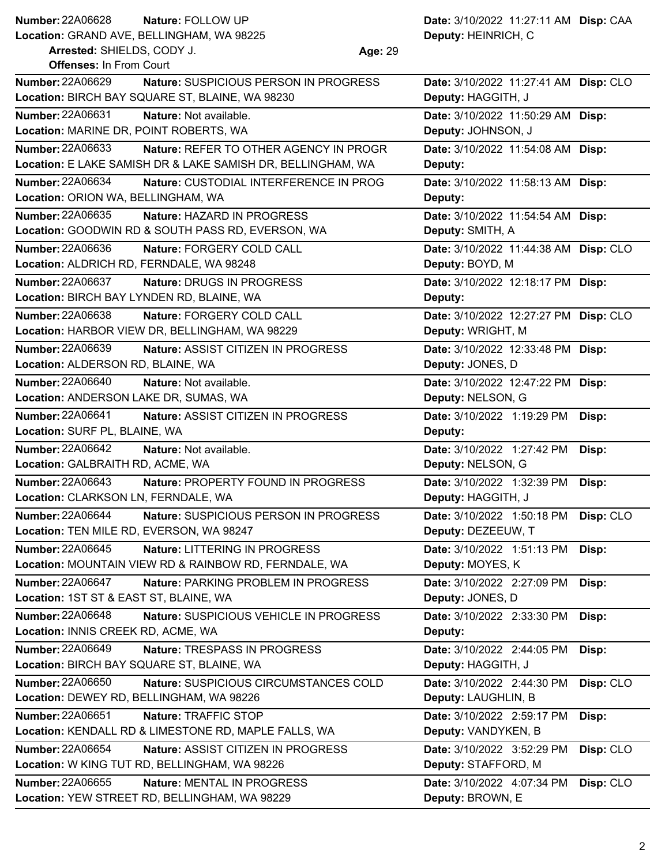## **Number: Nature:** FOLLOW UP **Date:** 3/10/2022 11:27:11 AM **Disp:** CAA **Number: 22A06628**

**Location:** GRAND AVE, BELLINGHAM, WA 98225

**Arrested:** SHIELDS, CODY J. **Age:** 29 **Offenses:** In From Court

**Deputy:** HEINRICH, C

| <b>Number: 22A06629</b><br>Nature: SUSPICIOUS PERSON IN PROGRESS  | Date: 3/10/2022 11:27:41 AM Disp: CLO |           |
|-------------------------------------------------------------------|---------------------------------------|-----------|
| Location: BIRCH BAY SQUARE ST, BLAINE, WA 98230                   | Deputy: HAGGITH, J                    |           |
| Number: 22A06631<br>Nature: Not available.                        | Date: 3/10/2022 11:50:29 AM Disp:     |           |
| Location: MARINE DR, POINT ROBERTS, WA                            | Deputy: JOHNSON, J                    |           |
| Number: 22A06633<br>Nature: REFER TO OTHER AGENCY IN PROGR        | Date: 3/10/2022 11:54:08 AM Disp:     |           |
| Location: E LAKE SAMISH DR & LAKE SAMISH DR, BELLINGHAM, WA       | Deputy:                               |           |
| <b>Number: 22A06634</b><br>Nature: CUSTODIAL INTERFERENCE IN PROG | Date: 3/10/2022 11:58:13 AM Disp:     |           |
| Location: ORION WA, BELLINGHAM, WA                                | Deputy:                               |           |
| Number: 22A06635<br>Nature: HAZARD IN PROGRESS                    | Date: 3/10/2022 11:54:54 AM Disp:     |           |
| Location: GOODWIN RD & SOUTH PASS RD, EVERSON, WA                 | Deputy: SMITH, A                      |           |
| <b>Number: 22A06636</b><br>Nature: FORGERY COLD CALL              | Date: 3/10/2022 11:44:38 AM Disp: CLO |           |
| Location: ALDRICH RD, FERNDALE, WA 98248                          | Deputy: BOYD, M                       |           |
| <b>Number: 22A06637</b><br>Nature: DRUGS IN PROGRESS              | Date: 3/10/2022 12:18:17 PM Disp:     |           |
| Location: BIRCH BAY LYNDEN RD, BLAINE, WA                         | Deputy:                               |           |
| <b>Number: 22A06638</b><br>Nature: FORGERY COLD CALL              | Date: 3/10/2022 12:27:27 PM Disp: CLO |           |
| Location: HARBOR VIEW DR, BELLINGHAM, WA 98229                    | Deputy: WRIGHT, M                     |           |
| <b>Number: 22A06639</b><br>Nature: ASSIST CITIZEN IN PROGRESS     | Date: 3/10/2022 12:33:48 PM Disp:     |           |
| Location: ALDERSON RD, BLAINE, WA                                 | Deputy: JONES, D                      |           |
| Number: 22A06640<br>Nature: Not available.                        | Date: 3/10/2022 12:47:22 PM Disp:     |           |
| Location: ANDERSON LAKE DR, SUMAS, WA                             | Deputy: NELSON, G                     |           |
| <b>Number: 22A06641</b><br>Nature: ASSIST CITIZEN IN PROGRESS     | Date: 3/10/2022 1:19:29 PM            | Disp:     |
| Location: SURF PL, BLAINE, WA                                     | Deputy:                               |           |
| <b>Number: 22A06642</b><br>Nature: Not available.                 | Date: 3/10/2022 1:27:42 PM            | Disp:     |
| Location: GALBRAITH RD, ACME, WA                                  | Deputy: NELSON, G                     |           |
| Number: 22A06643<br>Nature: PROPERTY FOUND IN PROGRESS            | Date: 3/10/2022 1:32:39 PM            | Disp:     |
| Location: CLARKSON LN, FERNDALE, WA                               | Deputy: HAGGITH, J                    |           |
| <b>Number: 22A06644</b><br>Nature: SUSPICIOUS PERSON IN PROGRESS  | Date: 3/10/2022 1:50:18 PM            | Disp: CLO |
| Location: TEN MILE RD, EVERSON, WA 98247                          | Deputy: DEZEEUW, T                    |           |
| Number: 22A06645<br>Nature: LITTERING IN PROGRESS                 | Date: 3/10/2022 1:51:13 PM            | Disp:     |
| Location: MOUNTAIN VIEW RD & RAINBOW RD, FERNDALE, WA             | Deputy: MOYES, K                      |           |
| Number: 22A06647<br>Nature: PARKING PROBLEM IN PROGRESS           | Date: 3/10/2022 2:27:09 PM            | Disp:     |
| Location: 1ST ST & EAST ST, BLAINE, WA                            | Deputy: JONES, D                      |           |
| <b>Number: 22A06648</b><br>Nature: SUSPICIOUS VEHICLE IN PROGRESS | Date: 3/10/2022 2:33:30 PM            | Disp:     |
| Location: INNIS CREEK RD, ACME, WA                                | Deputy:                               |           |
| Number: 22A06649<br>Nature: TRESPASS IN PROGRESS                  | Date: 3/10/2022 2:44:05 PM            | Disp:     |
| Location: BIRCH BAY SQUARE ST, BLAINE, WA                         | Deputy: HAGGITH, J                    |           |
| Number: 22A06650<br>Nature: SUSPICIOUS CIRCUMSTANCES COLD         | Date: 3/10/2022 2:44:30 PM            | Disp: CLO |
| Location: DEWEY RD, BELLINGHAM, WA 98226                          | Deputy: LAUGHLIN, B                   |           |
| Number: 22A06651<br>Nature: TRAFFIC STOP                          | Date: 3/10/2022 2:59:17 PM            | Disp:     |
| Location: KENDALL RD & LIMESTONE RD, MAPLE FALLS, WA              | Deputy: VANDYKEN, B                   |           |
| Number: 22A06654<br>Nature: ASSIST CITIZEN IN PROGRESS            | Date: 3/10/2022 3:52:29 PM            | Disp: CLO |
| Location: W KING TUT RD, BELLINGHAM, WA 98226                     | Deputy: STAFFORD, M                   |           |
| Number: 22A06655<br>Nature: MENTAL IN PROGRESS                    | Date: 3/10/2022 4:07:34 PM            | Disp: CLO |
| Location: YEW STREET RD, BELLINGHAM, WA 98229                     | Deputy: BROWN, E                      |           |